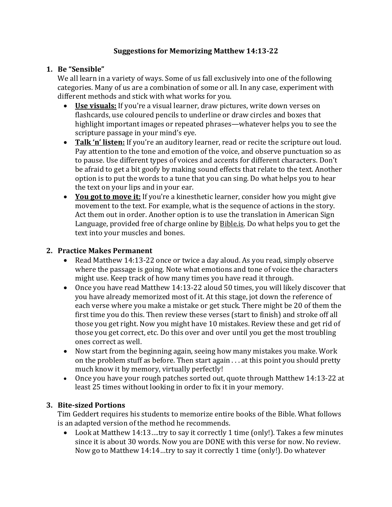## **Suggestions for Memorizing Matthew 14:13-22**

## **1. Be "Sensible"**

We all learn in a variety of ways. Some of us fall exclusively into one of the following categories. Many of us are a combination of some or all. In any case, experiment with different methods and stick with what works for you.

- Use visuals: If you're a visual learner, draw pictures, write down verses on flashcards, use coloured pencils to underline or draw circles and boxes that highlight important images or repeated phrases—whatever helps you to see the scripture passage in your mind's eye.
- **Talk 'n' listen:** If you're an auditory learner, read or recite the scripture out loud. Pay attention to the tone and emotion of the voice, and observe punctuation so as to pause. Use different types of voices and accents for different characters. Don't be afraid to get a bit goofy by making sound effects that relate to the text. Another option is to put the words to a tune that you can sing. Do what helps you to hear the text on your lips and in your ear.
- You got to move it: If you're a kinesthetic learner, consider how you might give movement to the text. For example, what is the sequence of actions in the story. Act them out in order. Another option is to use the translation in American Sign Language, provided free of charge online by **Bible.is**. Do what helps you to get the text into your muscles and bones.

## **2. Practice Makes Permanent**

- Read Matthew 14:13-22 once or twice a day aloud. As you read, simply observe where the passage is going. Note what emotions and tone of voice the characters might use. Keep track of how many times you have read it through.
- Once you have read Matthew 14:13-22 aloud 50 times, you will likely discover that you have already memorized most of it. At this stage, jot down the reference of each verse where you make a mistake or get stuck. There might be 20 of them the first time you do this. Then review these verses (start to finish) and stroke off all those you get right. Now you might have 10 mistakes. Review these and get rid of those you get correct, etc. Do this over and over until you get the most troubling ones correct as well.
- Now start from the beginning again, seeing how many mistakes you make. Work on the problem stuff as before. Then start again  $\dots$  at this point you should pretty much know it by memory, virtually perfectly!
- Once you have your rough patches sorted out, quote through Matthew 14:13-22 at least 25 times without looking in order to fix it in your memory.

## **3. Bite-sized Portions**

Tim Geddert requires his students to memorize entire books of the Bible. What follows is an adapted version of the method he recommends.

• Look at Matthew 14:13 ....try to say it correctly 1 time (only!). Takes a few minutes since it is about 30 words. Now you are DONE with this verse for now. No review. Now go to Matthew 14:14…try to say it correctly 1 time (only!). Do whatever